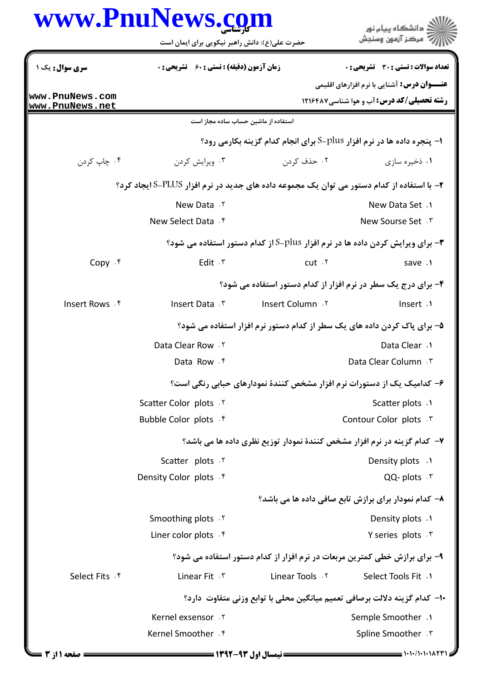|                                                                            | <b>www.PnuNews.col</b><br>حضرت علی(ع): دانش راهبر نیکویی برای ایمان است                      |                                                                                      | ، دانشگاه ييام نور<br>مركز آزمون وسنجش                                                                  |  |  |
|----------------------------------------------------------------------------|----------------------------------------------------------------------------------------------|--------------------------------------------------------------------------------------|---------------------------------------------------------------------------------------------------------|--|--|
| <b>سری سوال :</b> یک ۱                                                     | <b>زمان آزمون (دقیقه) : تستی : 60 گشریحی: 0</b>                                              |                                                                                      | تعداد سوالات : تستي : 30 ٪ تشريحي : 0                                                                   |  |  |
| www.PnuNews.com<br>www.PnuNews.net                                         |                                                                                              |                                                                                      | <b>عنـــوان درس:</b> آشنایی با نرم افزارهای اقلیمی<br><b>رشته تحصیلی/کد درس:</b> آب و هوا شناسی ۱۲۱۶۴۸۷ |  |  |
|                                                                            | استفاده از ماشین حساب ساده مجاز است                                                          |                                                                                      |                                                                                                         |  |  |
|                                                                            |                                                                                              | <b>ا- پنجره داده ها در نرم افزار S-plus برای انجام کدام گزینه بکارمی رود؟</b>        |                                                                                                         |  |  |
| ۰۴ چاپ کردن                                                                | ۰۳ ویرایش کردن                                                                               | ۰۲ حذف کردن                                                                          | ۰۱ ذخیره سازی                                                                                           |  |  |
|                                                                            | ۲- با استفاده از کدام دستور می توان یک مجموعه داده های جدید در نرم افزار FLUS-PLUSایجاد کرد؟ |                                                                                      |                                                                                                         |  |  |
|                                                                            | New Data . ٢                                                                                 |                                                                                      | New Data Set .                                                                                          |  |  |
|                                                                            | New Select Data . f                                                                          |                                                                                      | New Sourse Set . ٣                                                                                      |  |  |
|                                                                            |                                                                                              | <b>۳-</b> برای ویرایش کردن داده ها در نرم افزار Plus-S از کدام دستور استفاده می شود؟ |                                                                                                         |  |  |
| Copy $.$ $\mathfrak{f}$                                                    | Edit $.7$                                                                                    | cut.7                                                                                | save .1                                                                                                 |  |  |
|                                                                            |                                                                                              | ۴- برای درج یک سطر در نرم افزار از کدام دستور استفاده می شود؟                        |                                                                                                         |  |  |
| Insert Rows . ۴                                                            | Insert Data . \v                                                                             | Insert Column.                                                                       | Insert .1                                                                                               |  |  |
|                                                                            | ۵– برای پاک کردن داده های یک سطر از کدام دستور نرم افزار استفاده می شود؟                     |                                                                                      |                                                                                                         |  |  |
|                                                                            | Data Clear Row . ٢                                                                           |                                                                                      | Data Clear .1                                                                                           |  |  |
|                                                                            | Data Row . f                                                                                 |                                                                                      | Data Clear Column . \"                                                                                  |  |  |
| ۶- کدامیک یک از دستورات نرم افزار مشخص کنندهٔ نمودارهای حبابی رنگی است؟    |                                                                                              |                                                                                      |                                                                                                         |  |  |
|                                                                            | Scatter Color plots . Y                                                                      |                                                                                      | Scatter plots .1                                                                                        |  |  |
|                                                                            | Bubble Color plots . f                                                                       |                                                                                      | Contour Color plots . ٣                                                                                 |  |  |
|                                                                            | ۷- کدام گزینه در نرم افزار مشخص کنندهٔ نمودار توزیع نظری داده ها می باشد؟                    |                                                                                      |                                                                                                         |  |  |
|                                                                            | Scatter plots . Y                                                                            |                                                                                      | Density plots .1                                                                                        |  |  |
|                                                                            | Density Color plots . f                                                                      |                                                                                      | QQ-plots . \v                                                                                           |  |  |
|                                                                            |                                                                                              |                                                                                      | ۸– کدام نمودار برای برازش تابع صافی داده ها می باشد؟                                                    |  |  |
|                                                                            | Smoothing plots . Y                                                                          |                                                                                      | Density plots .1                                                                                        |  |  |
|                                                                            | Liner color plots . f                                                                        |                                                                                      | Y series plots . \v                                                                                     |  |  |
|                                                                            |                                                                                              | ۹- برای برازش خطی کمترین مربعات در نرم افزار از کدام دستور استفاده می شود؟           |                                                                                                         |  |  |
| Select Fits . ۴                                                            | Linear Fit . ٣                                                                               | Linear Tools . Y                                                                     | Select Tools Fit .1                                                                                     |  |  |
| ∙ا− كدام گزينه دلالت برصافي تعميم ميانگين محلي با توابع وزني متفاوت  دارد؟ |                                                                                              |                                                                                      |                                                                                                         |  |  |
|                                                                            | Kernel exsensor . Y                                                                          |                                                                                      | Semple Smoother .1                                                                                      |  |  |
|                                                                            | Kernel Smoother . f                                                                          |                                                                                      | Spline Smoother . ٣                                                                                     |  |  |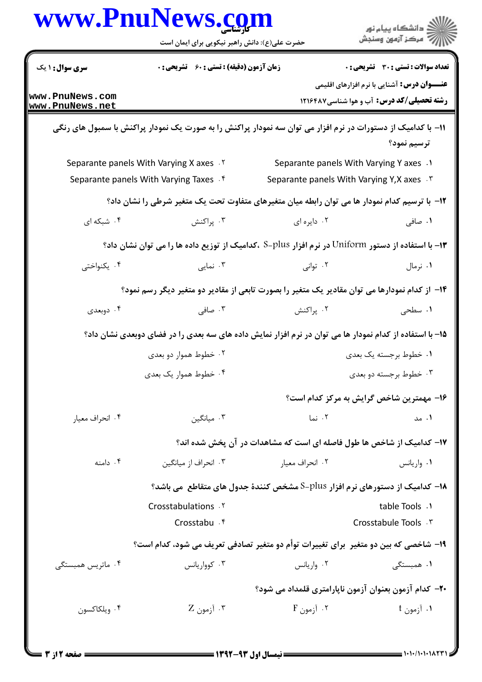| <b>سری سوال :</b> ۱ یک<br>www.PnuNews.com<br>www.PnuNews.net | <b>زمان آزمون (دقیقه) : تستی : 60 ٪ تشریحی : 0</b>                            |                                                                                                              |                                                                                                         |  |
|--------------------------------------------------------------|-------------------------------------------------------------------------------|--------------------------------------------------------------------------------------------------------------|---------------------------------------------------------------------------------------------------------|--|
|                                                              |                                                                               |                                                                                                              | تعداد سوالات : تستي : 30 ٪ تشريحي : 0                                                                   |  |
|                                                              |                                                                               |                                                                                                              | <b>عنــــوان درس:</b> آشنایی با نرم افزارهای اقلیمی<br><b>رشته تحصیلی/کد درس:</b> آب و هوا شناسی۱۲۱۶۴۸۷ |  |
|                                                              |                                                                               |                                                                                                              |                                                                                                         |  |
|                                                              |                                                                               | 1۱– با کدامیک از دستورات در نرم افزار می توان سه نمودار پراکنش را به صورت یک نمودار پراکنش با سمبول های رنگی | ترسيم نمود؟                                                                                             |  |
| Separante panels With Varying X axes . Y                     |                                                                               | Separante panels With Varying Y axes .1                                                                      |                                                                                                         |  |
| Separante panels With Varying Taxes . f                      |                                                                               | Separante panels With Varying Y, X axes . \v                                                                 |                                                                                                         |  |
|                                                              |                                                                               | 1۲- با ترسیم کدام نمودار ها می توان رابطه میان متغیرهای متفاوت تحت یک متغیر شرطی را نشان داد؟                |                                                                                                         |  |
| ۰۴ شبکه ای                                                   | ۰۳ پراکنش                                                                     | ۰۲ دایره ای                                                                                                  | ۰۱ صافی                                                                                                 |  |
|                                                              |                                                                               | ۱۳- با استفاده از دستور Uniform در نرم افزار S-plus ،کدامیک از توزیع داده ها را می توان نشان داد؟            |                                                                                                         |  |
| ۰۴ يکنواختى                                                  | ۰۳ نمایی                                                                      | ۰۲ توانی                                                                                                     | ۰۱ نرمال                                                                                                |  |
|                                                              |                                                                               | ۱۴– از کدام نمودارها می توان مقادیر یک متغیر را بصورت تابعی از مقادیر دو متغیر دیگر رسم نمود؟                |                                                                                                         |  |
| ۰۴ دوبعدی                                                    | ۰۳ صافی                                                                       | ۰۲ پراکنش                                                                                                    | ۰۱ سطحی                                                                                                 |  |
|                                                              |                                                                               | 1۵– با استفاده از کدام نمودار ها می توان در نرم افزار نمایش داده های سه بعدی را در فضای دوبعدی نشان داد؟     |                                                                                                         |  |
|                                                              | ۰۲ خطوط هموار دو بعدی                                                         | ۰۱ خطوط برجسته یک بعدی                                                                                       |                                                                                                         |  |
|                                                              | ۰۴ خطوط هموار یک بعدی                                                         | ۰۳ خطوط برجسته دو بعدی                                                                                       |                                                                                                         |  |
|                                                              |                                                                               |                                                                                                              | ۱۶– مهمترین شاخص گرایش به مرکز کدام است؟                                                                |  |
| ۰۴ انحراف معيار                                              | ۰۳ میانگین                                                                    | ۰۲ نما                                                                                                       | ۰۱ مد                                                                                                   |  |
|                                                              |                                                                               | ۱۷– کدامیک از شاخص ها طول فاصله ای است که مشاهدات در آن پخش شده اند؟                                         |                                                                                                         |  |
| ۰۴ دامنه                                                     | ۰۳ انحراف از میانگین                                                          | ۰۲ انحراف معیار                                                                                              | ۰۱ واریانس                                                                                              |  |
|                                                              | ۱۸− کدامیک از دستورهای نرم افزار S−plus مشخص کنندهٔ جدول های متقاطع ًمی باشد؟ |                                                                                                              |                                                                                                         |  |
|                                                              | Crosstabulations . Y                                                          |                                                                                                              | table Tools .1                                                                                          |  |
|                                                              | Crosstabu . ۴                                                                 |                                                                                                              | Crosstabule Tools . ٣                                                                                   |  |
|                                                              |                                                                               | ۱۹- شاخصی که بین دو متغیر ۖ برای تغییرات توأم دو متغیر تصادفی تعریف می شود، کدام است؟                        |                                                                                                         |  |
| ۰۴ ماتریس همبستگی                                            | ۰۳ کوواریانس                                                                  | ۰۲ واریانس                                                                                                   | ۰۱ همبستگ <i>ی</i>                                                                                      |  |
|                                                              |                                                                               | <b>۲۰</b> – کدام آزمون بعنوان آزمون ناپارامتری قلمداد می شود؟                                                |                                                                                                         |  |
| ۰۴ ویلکاکسون                                                 | ۰۳ آزمون Z                                                                    | ۰۲ آزمون F                                                                                                   | ۱. آزمون t                                                                                              |  |